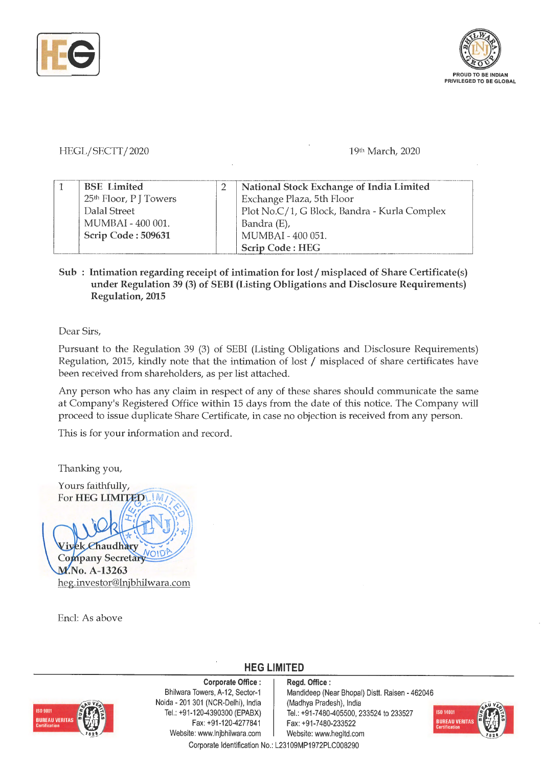



## HEGL/SECTT/2020

## 19th March, 2020

| <b>BSE</b> Limited                 | National Stock Exchange of India Limited     |  |
|------------------------------------|----------------------------------------------|--|
| 25 <sup>th</sup> Floor, P J Towers | Exchange Plaza, 5th Floor                    |  |
| Dalal Street                       | Plot No.C/1, G Block, Bandra - Kurla Complex |  |
| MUMBAI - 400 001.                  | Bandra (E),                                  |  |
| Scrip Code: 509631                 | MUMBAI - 400 051.                            |  |
|                                    | <b>Scrip Code: HEG</b>                       |  |

## Sub : Intimation regarding receipt of intimation for lost / misplaced of Share Certificate(s) **under Regulation 39 (3) of SEBI (Listing Obligations and Disclosure Requirements) Regulation, 2015**

Dear Sirs,

Pursuant to the Regulation 39 (3) of SEBI (Listing Obligations and Disclosure Requirements) Regulation, 2015, kindly note that the intimation of lost / misplaced of share certificates have been received from shareholders, as per list attached.

Any person who has any claim in respect of any of these shares should communicate the same at Company's Registered Office within 15 days from the date of this notice. The Company will proceed to issue duplicate Share Certificate, in case no objection is received from any person.

This is for your information and record.

Thanking you,

Yours faithfully, For **HEG LIMITED** IM haudhary Company Secretary<br>M.No. A-13263 heg.investor@lnjbhilwara.com

Encl: As above

**HEG LIMITED** 



**Corporate Office** : Bhilwara Towers, A-12, Sector-1 Naida - 201 301 (NCR-Delhi), India Tel.: +91-120-4390300 (EPABX) Fax: +91-120-4277841 Website: www.lnjbhilwara.com | Website: www.hegltd.com

**Regd. Office** : Mandideep (Near Bhopal) Distt. Raisen - 462046 (Madhya Pradesh), India Tel.: +91-7480-405500, 233524 to 233527 Fax: +91-7480-233522



Corporate Identification No.: L23109MP1972PLC008290